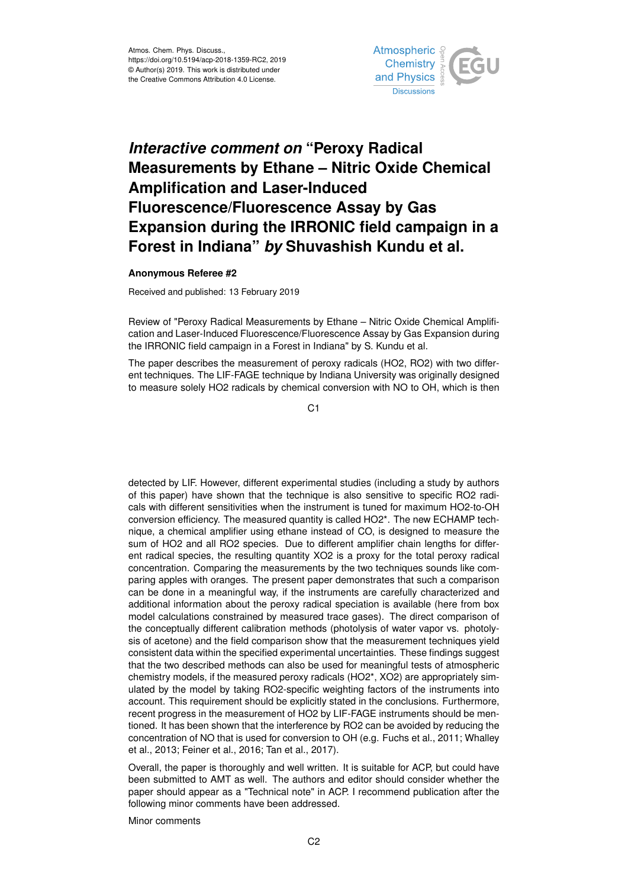

## *Interactive comment on* **"Peroxy Radical Measurements by Ethane – Nitric Oxide Chemical Amplification and Laser-Induced Fluorescence/Fluorescence Assay by Gas Expansion during the IRRONIC field campaign in a Forest in Indiana"** *by* **Shuvashish Kundu et al.**

## **Anonymous Referee #2**

Received and published: 13 February 2019

Review of "Peroxy Radical Measurements by Ethane – Nitric Oxide Chemical Amplification and Laser-Induced Fluorescence/Fluorescence Assay by Gas Expansion during the IRRONIC field campaign in a Forest in Indiana" by S. Kundu et al.

The paper describes the measurement of peroxy radicals (HO2, RO2) with two different techniques. The LIF-FAGE technique by Indiana University was originally designed to measure solely HO2 radicals by chemical conversion with NO to OH, which is then

C1

detected by LIF. However, different experimental studies (including a study by authors of this paper) have shown that the technique is also sensitive to specific RO2 radicals with different sensitivities when the instrument is tuned for maximum HO2-to-OH conversion efficiency. The measured quantity is called HO2\*. The new ECHAMP technique, a chemical amplifier using ethane instead of CO, is designed to measure the sum of HO2 and all RO2 species. Due to different amplifier chain lengths for different radical species, the resulting quantity XO2 is a proxy for the total peroxy radical concentration. Comparing the measurements by the two techniques sounds like comparing apples with oranges. The present paper demonstrates that such a comparison can be done in a meaningful way, if the instruments are carefully characterized and additional information about the peroxy radical speciation is available (here from box model calculations constrained by measured trace gases). The direct comparison of the conceptually different calibration methods (photolysis of water vapor vs. photolysis of acetone) and the field comparison show that the measurement techniques yield consistent data within the specified experimental uncertainties. These findings suggest that the two described methods can also be used for meaningful tests of atmospheric chemistry models, if the measured peroxy radicals (HO2\*, XO2) are appropriately simulated by the model by taking RO2-specific weighting factors of the instruments into account. This requirement should be explicitly stated in the conclusions. Furthermore, recent progress in the measurement of HO2 by LIF-FAGE instruments should be mentioned. It has been shown that the interference by RO2 can be avoided by reducing the concentration of NO that is used for conversion to OH (e.g. Fuchs et al., 2011; Whalley et al., 2013; Feiner et al., 2016; Tan et al., 2017).

Overall, the paper is thoroughly and well written. It is suitable for ACP, but could have been submitted to AMT as well. The authors and editor should consider whether the paper should appear as a "Technical note" in ACP. I recommend publication after the following minor comments have been addressed.

Minor comments